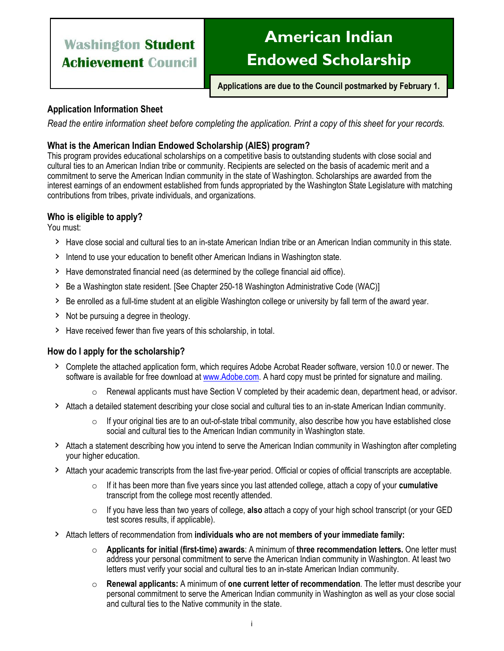## **American Indian Endowed Scholarship**

**Applications are due to the Council postmarked by February 1.**

### **Application Information Sheet**

*Read the entire information sheet before completing the application. Print a copy of this sheet for your records.* 

### **What is the American Indian Endowed Scholarship (AIES) program?**

This program provides educational scholarships on a competitive basis to outstanding students with close social and cultural ties to an American Indian tribe or community. Recipients are selected on the basis of academic merit and a commitment to serve the American Indian community in the state of Washington. Scholarships are awarded from the interest earnings of an endowment established from funds appropriated by the Washington State Legislature with matching contributions from tribes, private individuals, and organizations.

### **Who is eligible to apply?**

You must:

- › Have close social and cultural ties to an in-state American Indian tribe or an American Indian community in this state.
- › Intend to use your education to benefit other American Indians in Washington state.
- › Have demonstrated financial need (as determined by the college financial aid office).
- > Be a Washington state resident. [See Chapter 250-18 Washington Administrative Code (WAC)]
- › Be enrolled as a full-time student at an eligible Washington college or university by fall term of the award year.
- › Not be pursuing a degree in theology.
- › Have received fewer than five years of this scholarship, in total.

### **How do I apply for the scholarship?**

- › Complete the attached application form, which requires Adobe Acrobat Reader software, version 10.0 or newer. The software is available for free download at [www.Adobe.com.](http://www.adobe.com/) A hard copy must be printed for signature and mailing.
	- $\circ$  Renewal applicants must have Section V completed by their academic dean, department head, or advisor.
- › Attach a detailed statement describing your close social and cultural ties to an in-state American Indian community.
	- $\circ$  If your original ties are to an out-of-state tribal community, also describe how you have established close social and cultural ties to the American Indian community in Washington state.
- › Attach a statement describing how you intend to serve the American Indian community in Washington after completing your higher education.
- › Attach your academic transcripts from the last five-year period. Official or copies of official transcripts are acceptable.
	- o If it has been more than five years since you last attended college, attach a copy of your **cumulative** transcript from the college most recently attended.
	- o If you have less than two years of college, **also** attach a copy of your high school transcript (or your GED test scores results, if applicable).
- › Attach letters of recommendation from **individuals who are not members of your immediate family:**
	- o **Applicants for initial (first-time) awards**: A minimum of **three recommendation letters.** One letter must address your personal commitment to serve the American Indian community in Washington. At least two letters must verify your social and cultural ties to an in-state American Indian community.
	- o **Renewal applicants:** A minimum of **one current letter of recommendation**. The letter must describe your personal commitment to serve the American Indian community in Washington as well as your close social and cultural ties to the Native community in the state.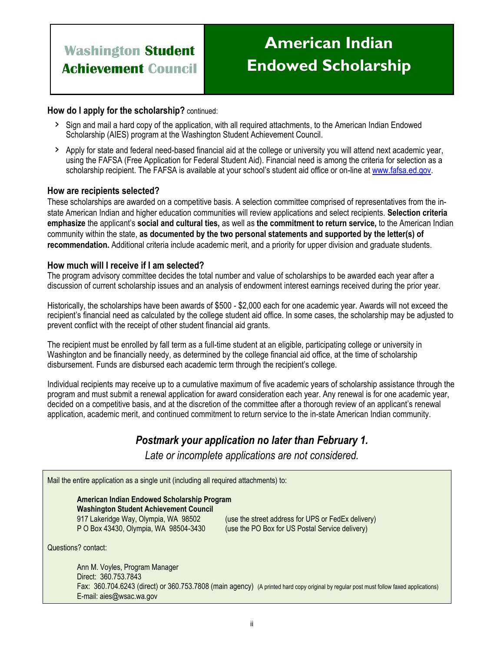## **American Indian Endowed Scholarship**

### **How do I apply for the scholarship?** continued:

- › Sign and mail a hard copy of the application, with all required attachments, to the American Indian Endowed Scholarship (AIES) program at the Washington Student Achievement Council.
- › Apply for state and federal need-based financial aid at the college or university you will attend next academic year, using the FAFSA (Free Application for Federal Student Aid). Financial need is among the criteria for selection as a scholarship recipient. The FAFSA is available at your school's student aid office or on-line at [www.fafsa.ed.gov.](http://www.fafsa.ed.gov/)

### **How are recipients selected?**

These scholarships are awarded on a competitive basis. A selection committee comprised of representatives from the instate American Indian and higher education communities will review applications and select recipients. **Selection criteria emphasize** the applicant's **social and cultural ties,** as well as **the commitment to return service,** to the American Indian community within the state, **as documented by the two personal statements and supported by the letter(s) of recommendation.** Additional criteria include academic merit, and a priority for upper division and graduate students.

### **How much will I receive if I am selected?**

The program advisory committee decides the total number and value of scholarships to be awarded each year after a discussion of current scholarship issues and an analysis of endowment interest earnings received during the prior year.

Historically, the scholarships have been awards of \$500 - \$2,000 each for one academic year. Awards will not exceed the recipient's financial need as calculated by the college student aid office. In some cases, the scholarship may be adjusted to prevent conflict with the receipt of other student financial aid grants.

The recipient must be enrolled by fall term as a full-time student at an eligible, participating college or university in Washington and be financially needy, as determined by the college financial aid office, at the time of scholarship disbursement. Funds are disbursed each academic term through the recipient's college.

Individual recipients may receive up to a cumulative maximum of five academic years of scholarship assistance through the program and must submit a renewal application for award consideration each year. Any renewal is for one academic year, decided on a competitive basis, and at the discretion of the committee after a thorough review of an applicant's renewal application, academic merit, and continued commitment to return service to the in-state American Indian community.

### *Postmark your application no later than February 1.*

*Late or incomplete applications are not considered.* 

Mail the entire application as a single unit (including all required attachments) to:

### **American Indian Endowed Scholarship Program Washington Student Achievement Council**

917 Lakeridge Way, Olympia, WA 98502 (use the street address for UPS or FedEx delivery) P O Box 43430, Olympia, WA 98504-3430 (use the PO Box for US Postal Service delivery)

Questions? contact:

Ann M. Voyles, Program Manager Direct: 360.753.7843 Fax: 360.704.6243 (direct) or 360.753.7808 (main agency) (A printed hard copy original by regular post must follow faxed applications) E-mail: aies@wsac.wa.gov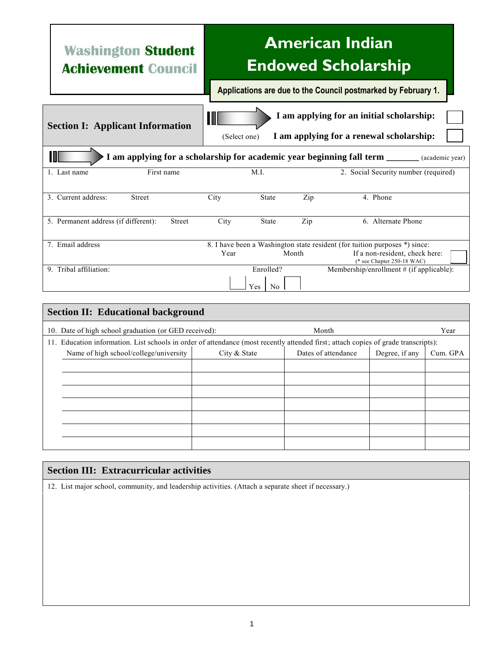# **American Indian Endowed Scholarship**

**Applications are due to the Council postmarked by February 1.**

| <b>Section I: Applicant Information</b>                                                              |               | I am applying for an initial scholarship:<br>Ш<br>I am applying for a renewal scholarship:<br>(Select one) |              |       |                                                              |  |  |  |
|------------------------------------------------------------------------------------------------------|---------------|------------------------------------------------------------------------------------------------------------|--------------|-------|--------------------------------------------------------------|--|--|--|
| M<br>I am applying for a scholarship for academic year beginning fall term ______<br>(academic year) |               |                                                                                                            |              |       |                                                              |  |  |  |
| 1. Last name                                                                                         | First name    | M.I.                                                                                                       |              |       | 2. Social Security number (required)                         |  |  |  |
| 3. Current address:<br><b>Street</b>                                                                 |               | City                                                                                                       | <b>State</b> | Zip   | 4. Phone                                                     |  |  |  |
| 5. Permanent address (if different):                                                                 | <b>Street</b> | City                                                                                                       | <b>State</b> | Zip   | 6. Alternate Phone                                           |  |  |  |
| 7. Email address                                                                                     |               | 8. I have been a Washington state resident (for tuition purposes *) since:                                 |              |       |                                                              |  |  |  |
|                                                                                                      |               | Year                                                                                                       |              | Month | If a non-resident, check here:<br>(* see Chapter 250-18 WAC) |  |  |  |
| 9. Tribal affiliation:                                                                               |               |                                                                                                            | Enrolled?    |       | Membership/enrollment $#$ (if applicable):                   |  |  |  |
| Yes<br>N <sub>0</sub>                                                                                |               |                                                                                                            |              |       |                                                              |  |  |  |

| <b>Section II: Educational background</b>                                                                                          |                                        |              |                     |                |          |  |  |  |
|------------------------------------------------------------------------------------------------------------------------------------|----------------------------------------|--------------|---------------------|----------------|----------|--|--|--|
| 10. Date of high school graduation (or GED received):                                                                              |                                        |              | Month               |                | Year     |  |  |  |
| 11. Education information. List schools in order of attendance (most recently attended first; attach copies of grade transcripts): |                                        |              |                     |                |          |  |  |  |
|                                                                                                                                    | Name of high school/college/university | City & State | Dates of attendance | Degree, if any | Cum. GPA |  |  |  |
|                                                                                                                                    |                                        |              |                     |                |          |  |  |  |
|                                                                                                                                    |                                        |              |                     |                |          |  |  |  |
|                                                                                                                                    |                                        |              |                     |                |          |  |  |  |
|                                                                                                                                    |                                        |              |                     |                |          |  |  |  |
|                                                                                                                                    |                                        |              |                     |                |          |  |  |  |
|                                                                                                                                    |                                        |              |                     |                |          |  |  |  |
|                                                                                                                                    |                                        |              |                     |                |          |  |  |  |

### **Section III: Extracurricular activities**

12. List major school, community, and leadership activities. (Attach a separate sheet if necessary.)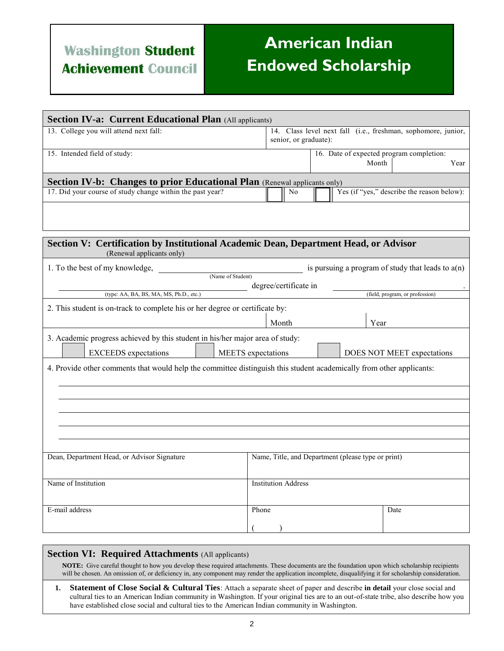# **American Indian Endowed Scholarship**

| <b>Section IV-a: Current Educational Plan (All applicants)</b>                                                       |                                                                                        |  |  |  |  |  |  |
|----------------------------------------------------------------------------------------------------------------------|----------------------------------------------------------------------------------------|--|--|--|--|--|--|
| 13. College you will attend next fall:                                                                               | 14. Class level next fall (i.e., freshman, sophomore, junior,<br>senior, or graduate): |  |  |  |  |  |  |
| 15. Intended field of study:                                                                                         | 16. Date of expected program completion:<br>Month<br>Year                              |  |  |  |  |  |  |
| Section IV-b: Changes to prior Educational Plan (Renewal applicants only)                                            |                                                                                        |  |  |  |  |  |  |
| 17. Did your course of study change within the past year?                                                            | Yes (if "yes," describe the reason below):<br>No                                       |  |  |  |  |  |  |
|                                                                                                                      |                                                                                        |  |  |  |  |  |  |
| Section V: Certification by Institutional Academic Dean, Department Head, or Advisor<br>(Renewal applicants only)    |                                                                                        |  |  |  |  |  |  |
| 1. To the best of my knowledge,                                                                                      | is pursuing a program of study that leads to $a(n)$                                    |  |  |  |  |  |  |
| (Name of Student)                                                                                                    | degree/certificate in                                                                  |  |  |  |  |  |  |
| (type: AA, BA, BS, MA, MS, Ph.D., etc.)                                                                              | (field, program, or profession)                                                        |  |  |  |  |  |  |
| 2. This student is on-track to complete his or her degree or certificate by:                                         |                                                                                        |  |  |  |  |  |  |
|                                                                                                                      | Month<br>Year                                                                          |  |  |  |  |  |  |
| 3. Academic progress achieved by this student in his/her major area of study:                                        |                                                                                        |  |  |  |  |  |  |
| <b>EXCEEDS</b> expectations                                                                                          | MEETS expectations<br>DOES NOT MEET expectations                                       |  |  |  |  |  |  |
| 4. Provide other comments that would help the committee distinguish this student academically from other applicants: |                                                                                        |  |  |  |  |  |  |
|                                                                                                                      |                                                                                        |  |  |  |  |  |  |
|                                                                                                                      |                                                                                        |  |  |  |  |  |  |
|                                                                                                                      |                                                                                        |  |  |  |  |  |  |
|                                                                                                                      |                                                                                        |  |  |  |  |  |  |
|                                                                                                                      |                                                                                        |  |  |  |  |  |  |
|                                                                                                                      |                                                                                        |  |  |  |  |  |  |
| Dean, Department Head, or Advisor Signature                                                                          | Name, Title, and Department (please type or print)                                     |  |  |  |  |  |  |
| Name of Institution                                                                                                  | <b>Institution Address</b>                                                             |  |  |  |  |  |  |
| E-mail address                                                                                                       | Phone<br>Date                                                                          |  |  |  |  |  |  |
|                                                                                                                      |                                                                                        |  |  |  |  |  |  |
|                                                                                                                      |                                                                                        |  |  |  |  |  |  |

#### **Section VI: Required Attachments** (All applicants)

**NOTE:** Give careful thought to how you develop these required attachments. These documents are the foundation upon which scholarship recipients will be chosen. An omission of, or deficiency in, any component may render the application incomplete, disqualifying it for scholarship consideration.

**1. Statement of Close Social & Cultural Ties**: Attach a separate sheet of paper and describe **in detail** your close social and cultural ties to an American Indian community in Washington. If your original ties are to an out-of-state tribe, also describe how you have established close social and cultural ties to the American Indian community in Washington.